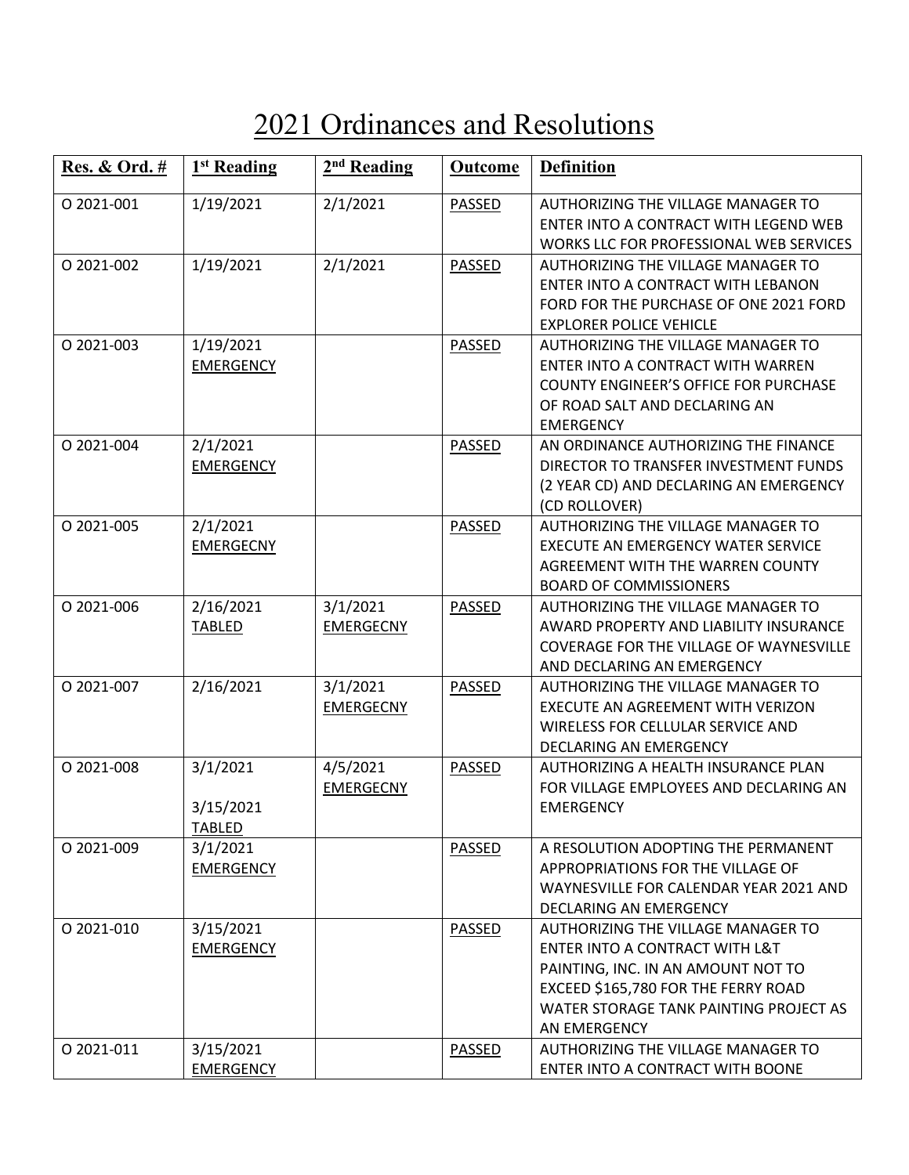## 2021 Ordinances and Resolutions

| <b>Res. &amp; Ord.</b> # | 1 <sup>st</sup> Reading                | 2 <sup>nd</sup> Reading      | Outcome       | <b>Definition</b>                                                                                                                                                                                           |
|--------------------------|----------------------------------------|------------------------------|---------------|-------------------------------------------------------------------------------------------------------------------------------------------------------------------------------------------------------------|
| O 2021-001               | 1/19/2021                              | 2/1/2021                     | <b>PASSED</b> | AUTHORIZING THE VILLAGE MANAGER TO<br>ENTER INTO A CONTRACT WITH LEGEND WEB<br>WORKS LLC FOR PROFESSIONAL WEB SERVICES                                                                                      |
| O 2021-002               | 1/19/2021                              | 2/1/2021                     | PASSED        | AUTHORIZING THE VILLAGE MANAGER TO<br>ENTER INTO A CONTRACT WITH LEBANON<br>FORD FOR THE PURCHASE OF ONE 2021 FORD<br><b>EXPLORER POLICE VEHICLE</b>                                                        |
| O 2021-003               | 1/19/2021<br><b>EMERGENCY</b>          |                              | PASSED        | AUTHORIZING THE VILLAGE MANAGER TO<br>ENTER INTO A CONTRACT WITH WARREN<br><b>COUNTY ENGINEER'S OFFICE FOR PURCHASE</b><br>OF ROAD SALT AND DECLARING AN<br><b>EMERGENCY</b>                                |
| O 2021-004               | 2/1/2021<br><b>EMERGENCY</b>           |                              | PASSED        | AN ORDINANCE AUTHORIZING THE FINANCE<br>DIRECTOR TO TRANSFER INVESTMENT FUNDS<br>(2 YEAR CD) AND DECLARING AN EMERGENCY<br>(CD ROLLOVER)                                                                    |
| O 2021-005               | 2/1/2021<br><b>EMERGECNY</b>           |                              | PASSED        | <b>AUTHORIZING THE VILLAGE MANAGER TO</b><br><b>EXECUTE AN EMERGENCY WATER SERVICE</b><br>AGREEMENT WITH THE WARREN COUNTY<br><b>BOARD OF COMMISSIONERS</b>                                                 |
| O 2021-006               | 2/16/2021<br><b>TABLED</b>             | 3/1/2021<br><b>EMERGECNY</b> | PASSED        | AUTHORIZING THE VILLAGE MANAGER TO<br>AWARD PROPERTY AND LIABILITY INSURANCE<br>COVERAGE FOR THE VILLAGE OF WAYNESVILLE<br>AND DECLARING AN EMERGENCY                                                       |
| O 2021-007               | 2/16/2021                              | 3/1/2021<br><b>EMERGECNY</b> | PASSED        | AUTHORIZING THE VILLAGE MANAGER TO<br>EXECUTE AN AGREEMENT WITH VERIZON<br>WIRELESS FOR CELLULAR SERVICE AND<br>DECLARING AN EMERGENCY                                                                      |
| O 2021-008               | 3/1/2021<br>3/15/2021<br><b>TABLED</b> | 4/5/2021<br><b>EMERGECNY</b> | PASSED        | AUTHORIZING A HEALTH INSURANCE PLAN<br>FOR VILLAGE EMPLOYEES AND DECLARING AN<br><b>EMERGENCY</b>                                                                                                           |
| O 2021-009               | 3/1/2021<br><b>EMERGENCY</b>           |                              | PASSED        | A RESOLUTION ADOPTING THE PERMANENT<br>APPROPRIATIONS FOR THE VILLAGE OF<br>WAYNESVILLE FOR CALENDAR YEAR 2021 AND<br>DECLARING AN EMERGENCY                                                                |
| O 2021-010               | 3/15/2021<br><b>EMERGENCY</b>          |                              | PASSED        | AUTHORIZING THE VILLAGE MANAGER TO<br>ENTER INTO A CONTRACT WITH L&T<br>PAINTING, INC. IN AN AMOUNT NOT TO<br>EXCEED \$165,780 FOR THE FERRY ROAD<br>WATER STORAGE TANK PAINTING PROJECT AS<br>AN EMERGENCY |
| 0 2021-011               | 3/15/2021<br><b>EMERGENCY</b>          |                              | PASSED        | AUTHORIZING THE VILLAGE MANAGER TO<br>ENTER INTO A CONTRACT WITH BOONE                                                                                                                                      |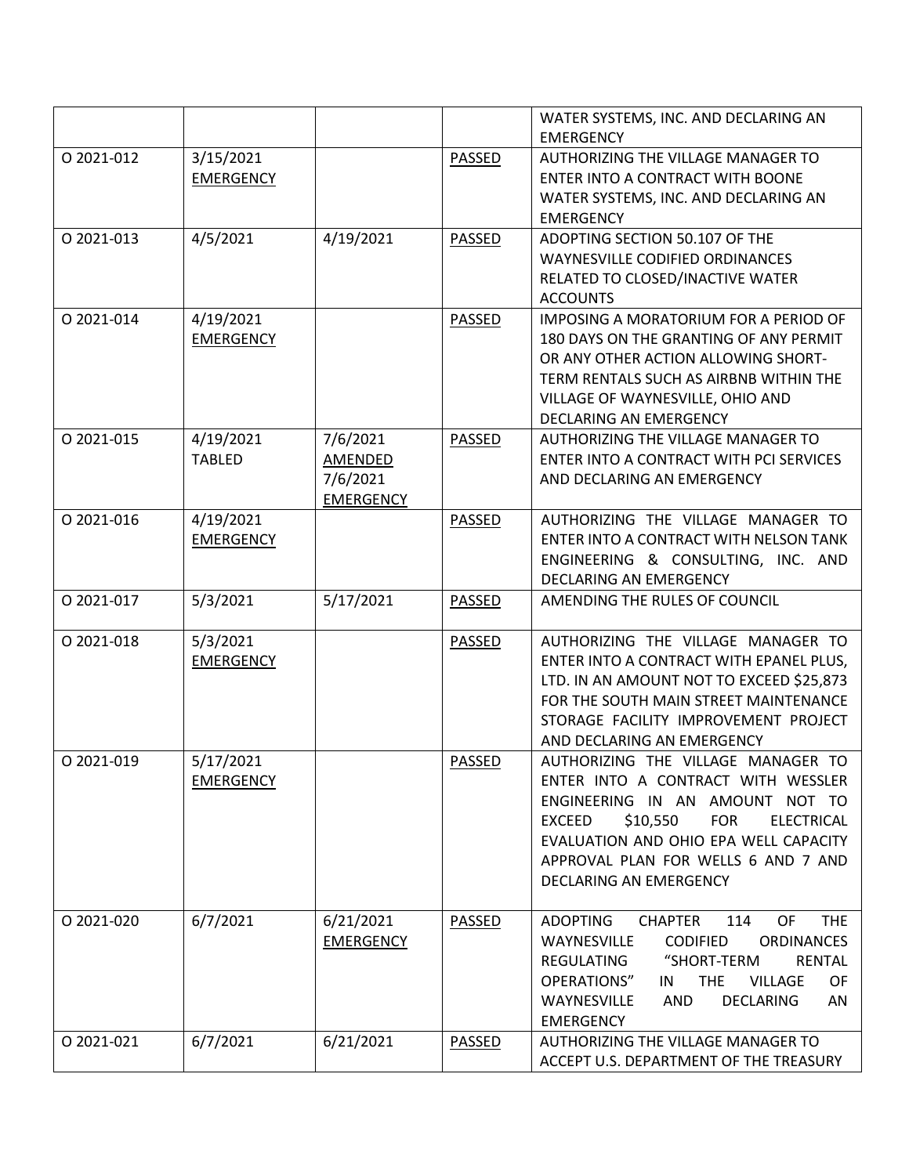|            |                  |                  |               | WATER SYSTEMS, INC. AND DECLARING AN                         |
|------------|------------------|------------------|---------------|--------------------------------------------------------------|
|            |                  |                  |               | <b>EMERGENCY</b>                                             |
| O 2021-012 | 3/15/2021        |                  | PASSED        | AUTHORIZING THE VILLAGE MANAGER TO                           |
|            | <b>EMERGENCY</b> |                  |               | ENTER INTO A CONTRACT WITH BOONE                             |
|            |                  |                  |               | WATER SYSTEMS, INC. AND DECLARING AN                         |
|            |                  |                  |               | <b>EMERGENCY</b>                                             |
| O 2021-013 | 4/5/2021         | 4/19/2021        | PASSED        | ADOPTING SECTION 50.107 OF THE                               |
|            |                  |                  |               | <b>WAYNESVILLE CODIFIED ORDINANCES</b>                       |
|            |                  |                  |               | RELATED TO CLOSED/INACTIVE WATER                             |
|            |                  |                  |               | <b>ACCOUNTS</b>                                              |
| O 2021-014 | 4/19/2021        |                  | PASSED        | IMPOSING A MORATORIUM FOR A PERIOD OF                        |
|            | <b>EMERGENCY</b> |                  |               | 180 DAYS ON THE GRANTING OF ANY PERMIT                       |
|            |                  |                  |               | OR ANY OTHER ACTION ALLOWING SHORT-                          |
|            |                  |                  |               | TERM RENTALS SUCH AS AIRBNB WITHIN THE                       |
|            |                  |                  |               | VILLAGE OF WAYNESVILLE, OHIO AND                             |
|            |                  |                  |               | DECLARING AN EMERGENCY                                       |
| O 2021-015 | 4/19/2021        | 7/6/2021         | PASSED        | AUTHORIZING THE VILLAGE MANAGER TO                           |
|            | <b>TABLED</b>    | AMENDED          |               | ENTER INTO A CONTRACT WITH PCI SERVICES                      |
|            |                  | 7/6/2021         |               | AND DECLARING AN EMERGENCY                                   |
|            |                  | <b>EMERGENCY</b> |               |                                                              |
| O 2021-016 | 4/19/2021        |                  | PASSED        | AUTHORIZING THE VILLAGE MANAGER TO                           |
|            | <b>EMERGENCY</b> |                  |               | ENTER INTO A CONTRACT WITH NELSON TANK                       |
|            |                  |                  |               | ENGINEERING & CONSULTING, INC. AND                           |
|            |                  |                  |               | DECLARING AN EMERGENCY                                       |
| O 2021-017 | 5/3/2021         | 5/17/2021        | PASSED        | AMENDING THE RULES OF COUNCIL                                |
|            |                  |                  |               |                                                              |
|            |                  |                  |               |                                                              |
| O 2021-018 | 5/3/2021         |                  | <b>PASSED</b> | AUTHORIZING THE VILLAGE MANAGER TO                           |
|            | <b>EMERGENCY</b> |                  |               | ENTER INTO A CONTRACT WITH EPANEL PLUS,                      |
|            |                  |                  |               | LTD. IN AN AMOUNT NOT TO EXCEED \$25,873                     |
|            |                  |                  |               | FOR THE SOUTH MAIN STREET MAINTENANCE                        |
|            |                  |                  |               | STORAGE FACILITY IMPROVEMENT PROJECT                         |
|            |                  |                  |               | AND DECLARING AN EMERGENCY                                   |
| O 2021-019 | 5/17/2021        |                  | <b>PASSED</b> | AUTHORIZING THE VILLAGE MANAGER TO                           |
|            | <b>EMERGENCY</b> |                  |               | ENTER INTO A CONTRACT WITH WESSLER                           |
|            |                  |                  |               | ENGINEERING IN AN AMOUNT NOT TO                              |
|            |                  |                  |               | \$10,550<br><b>FOR</b><br><b>ELECTRICAL</b><br><b>EXCEED</b> |
|            |                  |                  |               | EVALUATION AND OHIO EPA WELL CAPACITY                        |
|            |                  |                  |               | APPROVAL PLAN FOR WELLS 6 AND 7 AND                          |
|            |                  |                  |               | DECLARING AN EMERGENCY                                       |
|            |                  |                  |               |                                                              |
| O 2021-020 | 6/7/2021         | 6/21/2021        | <b>PASSED</b> | OF<br><b>ADOPTING</b><br><b>CHAPTER</b><br>114<br><b>THE</b> |
|            |                  | <b>EMERGENCY</b> |               | <b>ORDINANCES</b><br>WAYNESVILLE<br><b>CODIFIED</b>          |
|            |                  |                  |               | <b>REGULATING</b><br>"SHORT-TERM<br><b>RENTAL</b>            |
|            |                  |                  |               | OPERATIONS"<br><b>THE</b><br><b>VILLAGE</b><br>OF<br>IN      |
|            |                  |                  |               | WAYNESVILLE<br><b>DECLARING</b><br>AND<br>AN                 |
|            |                  |                  |               | <b>EMERGENCY</b>                                             |
| O 2021-021 | 6/7/2021         | 6/21/2021        | <b>PASSED</b> | AUTHORIZING THE VILLAGE MANAGER TO                           |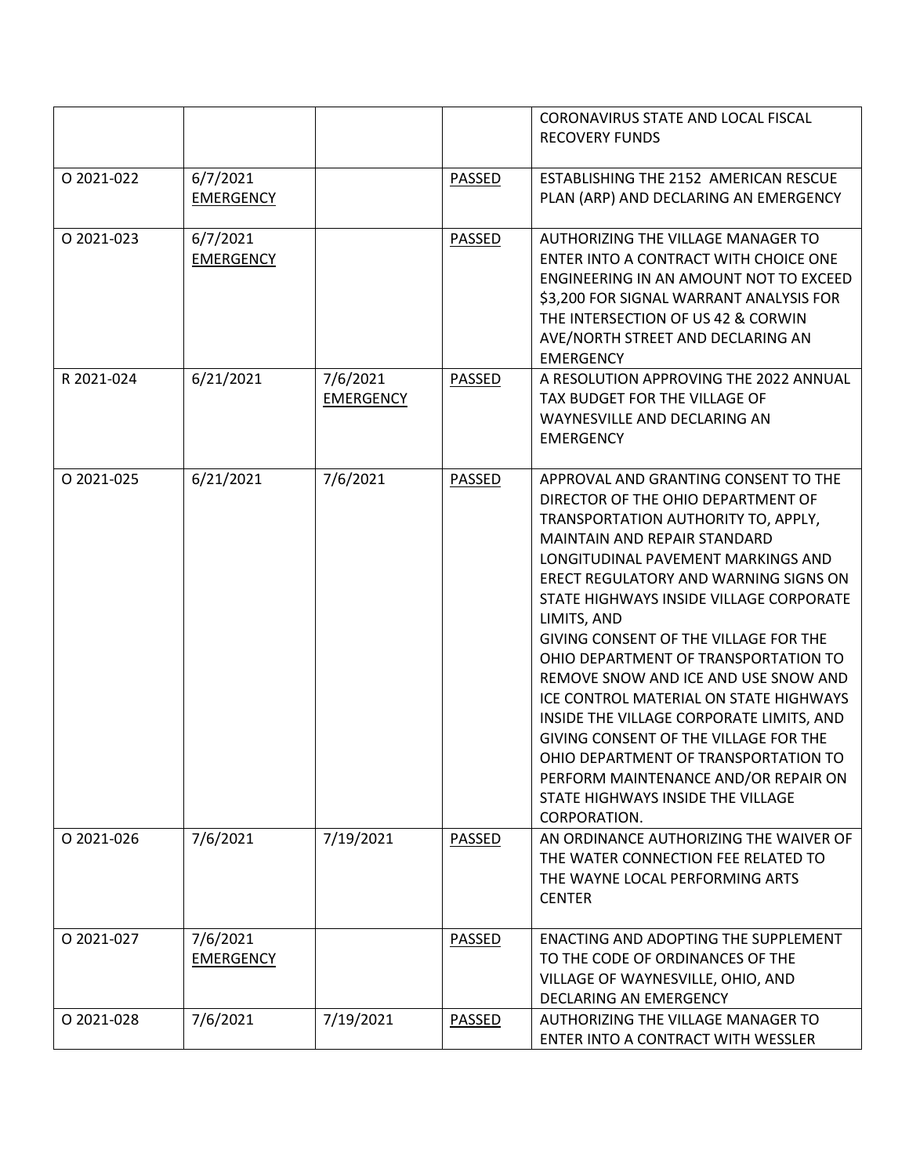|            |                              |                              |               | CORONAVIRUS STATE AND LOCAL FISCAL                                               |
|------------|------------------------------|------------------------------|---------------|----------------------------------------------------------------------------------|
|            |                              |                              |               | <b>RECOVERY FUNDS</b>                                                            |
| O 2021-022 | 6/7/2021<br><b>EMERGENCY</b> |                              | PASSED        | ESTABLISHING THE 2152 AMERICAN RESCUE<br>PLAN (ARP) AND DECLARING AN EMERGENCY   |
|            |                              |                              |               |                                                                                  |
| O 2021-023 | 6/7/2021<br><b>EMERGENCY</b> |                              | <b>PASSED</b> | AUTHORIZING THE VILLAGE MANAGER TO<br>ENTER INTO A CONTRACT WITH CHOICE ONE      |
|            |                              |                              |               | ENGINEERING IN AN AMOUNT NOT TO EXCEED                                           |
|            |                              |                              |               | \$3,200 FOR SIGNAL WARRANT ANALYSIS FOR<br>THE INTERSECTION OF US 42 & CORWIN    |
|            |                              |                              |               | AVE/NORTH STREET AND DECLARING AN                                                |
|            |                              |                              |               | <b>EMERGENCY</b>                                                                 |
| R 2021-024 | 6/21/2021                    | 7/6/2021<br><b>EMERGENCY</b> | PASSED        | A RESOLUTION APPROVING THE 2022 ANNUAL<br>TAX BUDGET FOR THE VILLAGE OF          |
|            |                              |                              |               | WAYNESVILLE AND DECLARING AN                                                     |
|            |                              |                              |               | <b>EMERGENCY</b>                                                                 |
| O 2021-025 | 6/21/2021                    | 7/6/2021                     | PASSED        | APPROVAL AND GRANTING CONSENT TO THE                                             |
|            |                              |                              |               | DIRECTOR OF THE OHIO DEPARTMENT OF<br>TRANSPORTATION AUTHORITY TO, APPLY,        |
|            |                              |                              |               | MAINTAIN AND REPAIR STANDARD                                                     |
|            |                              |                              |               | LONGITUDINAL PAVEMENT MARKINGS AND                                               |
|            |                              |                              |               | ERECT REGULATORY AND WARNING SIGNS ON<br>STATE HIGHWAYS INSIDE VILLAGE CORPORATE |
|            |                              |                              |               | LIMITS, AND                                                                      |
|            |                              |                              |               | GIVING CONSENT OF THE VILLAGE FOR THE                                            |
|            |                              |                              |               | OHIO DEPARTMENT OF TRANSPORTATION TO<br>REMOVE SNOW AND ICE AND USE SNOW AND     |
|            |                              |                              |               | ICE CONTROL MATERIAL ON STATE HIGHWAYS                                           |
|            |                              |                              |               | INSIDE THE VILLAGE CORPORATE LIMITS, AND                                         |
|            |                              |                              |               | GIVING CONSENT OF THE VILLAGE FOR THE<br>OHIO DEPARTMENT OF TRANSPORTATION TO    |
|            |                              |                              |               | PERFORM MAINTENANCE AND/OR REPAIR ON                                             |
|            |                              |                              |               | STATE HIGHWAYS INSIDE THE VILLAGE<br>CORPORATION.                                |
| 0 2021-026 | 7/6/2021                     | 7/19/2021                    | PASSED        | AN ORDINANCE AUTHORIZING THE WAIVER OF                                           |
|            |                              |                              |               | THE WATER CONNECTION FEE RELATED TO<br>THE WAYNE LOCAL PERFORMING ARTS           |
|            |                              |                              |               | <b>CENTER</b>                                                                    |
| O 2021-027 | 7/6/2021                     |                              | PASSED        | ENACTING AND ADOPTING THE SUPPLEMENT                                             |
|            | <b>EMERGENCY</b>             |                              |               | TO THE CODE OF ORDINANCES OF THE                                                 |
|            |                              |                              |               | VILLAGE OF WAYNESVILLE, OHIO, AND<br>DECLARING AN EMERGENCY                      |
| O 2021-028 | 7/6/2021                     | 7/19/2021                    | PASSED        | AUTHORIZING THE VILLAGE MANAGER TO                                               |
|            |                              |                              |               | ENTER INTO A CONTRACT WITH WESSLER                                               |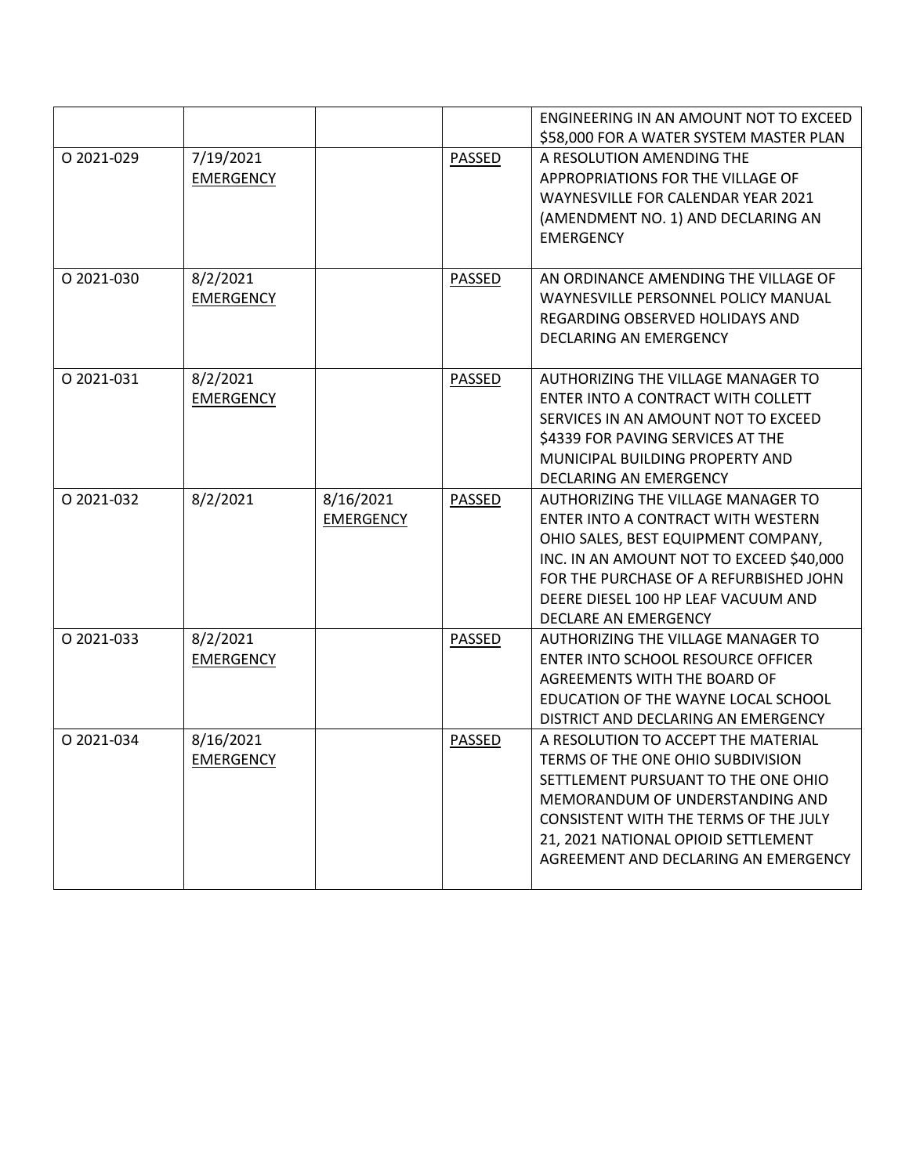|            |                               |                               |               | ENGINEERING IN AN AMOUNT NOT TO EXCEED<br>\$58,000 FOR A WATER SYSTEM MASTER PLAN                                                                                                                                                                                                 |
|------------|-------------------------------|-------------------------------|---------------|-----------------------------------------------------------------------------------------------------------------------------------------------------------------------------------------------------------------------------------------------------------------------------------|
| O 2021-029 | 7/19/2021<br><b>EMERGENCY</b> |                               | PASSED        | A RESOLUTION AMENDING THE<br>APPROPRIATIONS FOR THE VILLAGE OF<br><b>WAYNESVILLE FOR CALENDAR YEAR 2021</b><br>(AMENDMENT NO. 1) AND DECLARING AN<br><b>EMERGENCY</b>                                                                                                             |
| O 2021-030 | 8/2/2021<br><b>EMERGENCY</b>  |                               | PASSED        | AN ORDINANCE AMENDING THE VILLAGE OF<br>WAYNESVILLE PERSONNEL POLICY MANUAL<br>REGARDING OBSERVED HOLIDAYS AND<br>DECLARING AN EMERGENCY                                                                                                                                          |
| O 2021-031 | 8/2/2021<br><b>EMERGENCY</b>  |                               | <b>PASSED</b> | AUTHORIZING THE VILLAGE MANAGER TO<br>ENTER INTO A CONTRACT WITH COLLETT<br>SERVICES IN AN AMOUNT NOT TO EXCEED<br>\$4339 FOR PAVING SERVICES AT THE<br>MUNICIPAL BUILDING PROPERTY AND<br>DECLARING AN EMERGENCY                                                                 |
| O 2021-032 | 8/2/2021                      | 8/16/2021<br><b>EMERGENCY</b> | PASSED        | AUTHORIZING THE VILLAGE MANAGER TO<br>ENTER INTO A CONTRACT WITH WESTERN<br>OHIO SALES, BEST EQUIPMENT COMPANY,<br>INC. IN AN AMOUNT NOT TO EXCEED \$40,000<br>FOR THE PURCHASE OF A REFURBISHED JOHN<br>DEERE DIESEL 100 HP LEAF VACUUM AND<br>DECLARE AN EMERGENCY              |
| O 2021-033 | 8/2/2021<br><b>EMERGENCY</b>  |                               | PASSED        | AUTHORIZING THE VILLAGE MANAGER TO<br>ENTER INTO SCHOOL RESOURCE OFFICER<br>AGREEMENTS WITH THE BOARD OF<br>EDUCATION OF THE WAYNE LOCAL SCHOOL<br>DISTRICT AND DECLARING AN EMERGENCY                                                                                            |
| O 2021-034 | 8/16/2021<br><b>EMERGENCY</b> |                               | <b>PASSED</b> | A RESOLUTION TO ACCEPT THE MATERIAL<br>TERMS OF THE ONE OHIO SUBDIVISION<br>SETTLEMENT PURSUANT TO THE ONE OHIO<br>MEMORANDUM OF UNDERSTANDING AND<br><b>CONSISTENT WITH THE TERMS OF THE JULY</b><br>21, 2021 NATIONAL OPIOID SETTLEMENT<br>AGREEMENT AND DECLARING AN EMERGENCY |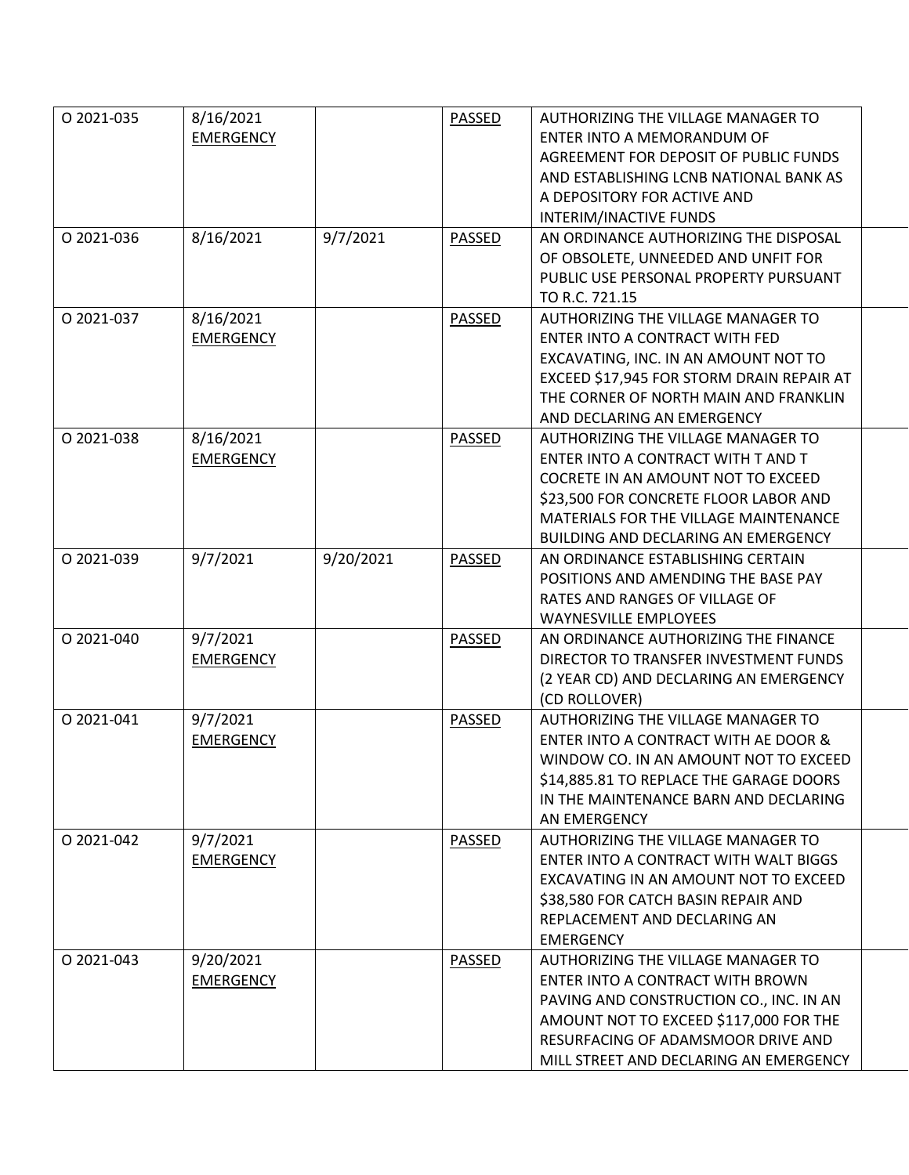| O 2021-035 | 8/16/2021        |           | <b>PASSED</b> | AUTHORIZING THE VILLAGE MANAGER TO        |  |
|------------|------------------|-----------|---------------|-------------------------------------------|--|
|            | <b>EMERGENCY</b> |           |               | ENTER INTO A MEMORANDUM OF                |  |
|            |                  |           |               | AGREEMENT FOR DEPOSIT OF PUBLIC FUNDS     |  |
|            |                  |           |               | AND ESTABLISHING LCNB NATIONAL BANK AS    |  |
|            |                  |           |               | A DEPOSITORY FOR ACTIVE AND               |  |
|            |                  |           |               | INTERIM/INACTIVE FUNDS                    |  |
| O 2021-036 | 8/16/2021        | 9/7/2021  | PASSED        | AN ORDINANCE AUTHORIZING THE DISPOSAL     |  |
|            |                  |           |               | OF OBSOLETE, UNNEEDED AND UNFIT FOR       |  |
|            |                  |           |               | PUBLIC USE PERSONAL PROPERTY PURSUANT     |  |
|            |                  |           |               | TO R.C. 721.15                            |  |
| O 2021-037 | 8/16/2021        |           | PASSED        | AUTHORIZING THE VILLAGE MANAGER TO        |  |
|            | <b>EMERGENCY</b> |           |               | ENTER INTO A CONTRACT WITH FED            |  |
|            |                  |           |               | EXCAVATING, INC. IN AN AMOUNT NOT TO      |  |
|            |                  |           |               | EXCEED \$17,945 FOR STORM DRAIN REPAIR AT |  |
|            |                  |           |               | THE CORNER OF NORTH MAIN AND FRANKLIN     |  |
|            |                  |           |               | AND DECLARING AN EMERGENCY                |  |
| O 2021-038 | 8/16/2021        |           | PASSED        | AUTHORIZING THE VILLAGE MANAGER TO        |  |
|            | <b>EMERGENCY</b> |           |               | ENTER INTO A CONTRACT WITH T AND T        |  |
|            |                  |           |               | COCRETE IN AN AMOUNT NOT TO EXCEED        |  |
|            |                  |           |               | \$23,500 FOR CONCRETE FLOOR LABOR AND     |  |
|            |                  |           |               | MATERIALS FOR THE VILLAGE MAINTENANCE     |  |
|            |                  |           |               | BUILDING AND DECLARING AN EMERGENCY       |  |
| O 2021-039 | 9/7/2021         | 9/20/2021 | PASSED        | AN ORDINANCE ESTABLISHING CERTAIN         |  |
|            |                  |           |               | POSITIONS AND AMENDING THE BASE PAY       |  |
|            |                  |           |               | RATES AND RANGES OF VILLAGE OF            |  |
|            |                  |           |               | <b>WAYNESVILLE EMPLOYEES</b>              |  |
| O 2021-040 | 9/7/2021         |           | PASSED        | AN ORDINANCE AUTHORIZING THE FINANCE      |  |
|            | <b>EMERGENCY</b> |           |               | DIRECTOR TO TRANSFER INVESTMENT FUNDS     |  |
|            |                  |           |               | (2 YEAR CD) AND DECLARING AN EMERGENCY    |  |
|            |                  |           |               | (CD ROLLOVER)                             |  |
| O 2021-041 | 9/7/2021         |           | PASSED        | AUTHORIZING THE VILLAGE MANAGER TO        |  |
|            | <b>EMERGENCY</b> |           |               | ENTER INTO A CONTRACT WITH AE DOOR &      |  |
|            |                  |           |               | WINDOW CO. IN AN AMOUNT NOT TO EXCEED     |  |
|            |                  |           |               | \$14,885.81 TO REPLACE THE GARAGE DOORS   |  |
|            |                  |           |               | IN THE MAINTENANCE BARN AND DECLARING     |  |
|            |                  |           |               | AN EMERGENCY                              |  |
| O 2021-042 | 9/7/2021         |           | <b>PASSED</b> | AUTHORIZING THE VILLAGE MANAGER TO        |  |
|            | <b>EMERGENCY</b> |           |               | ENTER INTO A CONTRACT WITH WALT BIGGS     |  |
|            |                  |           |               | EXCAVATING IN AN AMOUNT NOT TO EXCEED     |  |
|            |                  |           |               | \$38,580 FOR CATCH BASIN REPAIR AND       |  |
|            |                  |           |               | REPLACEMENT AND DECLARING AN              |  |
|            |                  |           |               | <b>EMERGENCY</b>                          |  |
| O 2021-043 | 9/20/2021        |           | PASSED        | AUTHORIZING THE VILLAGE MANAGER TO        |  |
|            | <b>EMERGENCY</b> |           |               | ENTER INTO A CONTRACT WITH BROWN          |  |
|            |                  |           |               | PAVING AND CONSTRUCTION CO., INC. IN AN   |  |
|            |                  |           |               | AMOUNT NOT TO EXCEED \$117,000 FOR THE    |  |
|            |                  |           |               | RESURFACING OF ADAMSMOOR DRIVE AND        |  |
|            |                  |           |               | MILL STREET AND DECLARING AN EMERGENCY    |  |